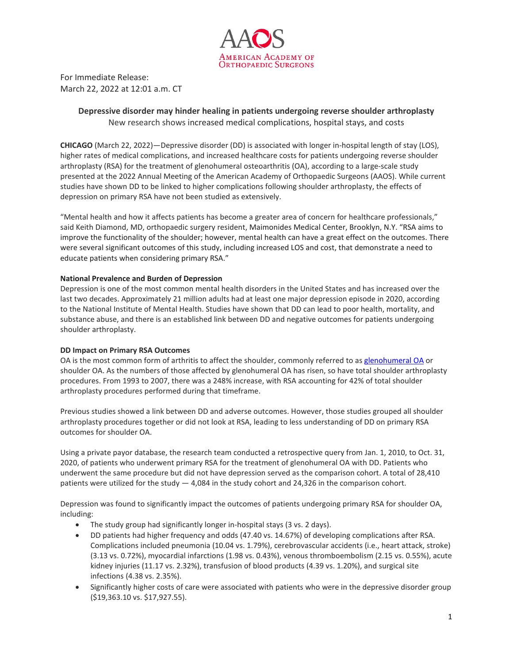

For Immediate Release: March 22, 2022 at 12:01 a.m. CT

# **Depressive disorder may hinder healing in patients undergoing reverse shoulder arthroplasty** New research shows increased medical complications, hospital stays, and costs

**CHICAGO** (March 22, 2022)—Depressive disorder (DD) is associated with longer in-hospital length of stay (LOS), higher rates of medical complications, and increased healthcare costs for patients undergoing reverse shoulder arthroplasty (RSA) for the treatment of glenohumeral osteoarthritis (OA), according to a large-scale study presented at the 2022 Annual Meeting of the American Academy of [Orthopaedic](https://www.aaos.org/) Surgeons (AAOS). While current studies have shown DD to be linked to higher complications following shoulder arthroplasty, the effects of depression on primary RSA have not been studied as extensively.

"Mental health and how it affects patients has become a greater area of concern for healthcare professionals," said Keith Diamond, MD, orthopaedic surgery resident, Maimonides Medical Center, Brooklyn, N.Y. "RSA aims to improve the functionality of the shoulder; however, mental health can have a great effect on the outcomes. There were several significant outcomes of this study, including increased LOS and cost, that demonstrate a need to educate patients when considering primary RSA."

## **National Prevalence and Burden of Depression**

Depression is one of the most common mental health disorders in the United States and has increased over the last two decades. Approximately 21 million adults had at least one major depression episode in 2020, according to the National Institute of Mental Health. Studies have shown that DD can lead to poor health, mortality, and substance abuse, and there is an established link between DD and negative outcomes for patients undergoing shoulder arthroplasty.

### **DD Impact on Primary RSA Outcomes**

OA is the most common form of arthritis to affect the shoulder, commonly referred to as [glenohumeral OA](https://orthoinfo.org/en/diseases--conditions/arthritis-of-the-shoulder/) or shoulder OA. As the numbers of those affected by glenohumeral OA has risen, so have total shoulder arthroplasty procedures. From 1993 to 2007, there was a 248% increase, with RSA accounting for 42% of total shoulder arthroplasty procedures performed during that timeframe.

Previous studies showed a link between DD and adverse outcomes. However, those studies grouped all shoulder arthroplasty procedures together or did not look at RSA, leading to less understanding of DD on primary RSA outcomes for shoulder OA.

Using a private payor database, the research team conducted a retrospective query from Jan. 1, 2010, to Oct. 31, 2020, of patients who underwent primary RSA for the treatment of glenohumeral OA with DD. Patients who underwent the same procedure but did not have depression served as the comparison cohort. A total of 28,410 patients were utilized for the study — 4,084 in the study cohort and 24,326 in the comparison cohort.

Depression was found to significantly impact the outcomes of patients undergoing primary RSA for shoulder OA, including:

- The study group had significantly longer in-hospital stays (3 vs. 2 days).
- DD patients had higher frequency and odds (47.40 vs. 14.67%) of developing complications after RSA. Complications included pneumonia (10.04 vs. 1.79%), cerebrovascular accidents (i.e., heart attack, stroke) (3.13 vs. 0.72%), myocardial infarctions (1.98 vs. 0.43%), venous thromboembolism (2.15 vs. 0.55%), acute kidney injuries (11.17 vs. 2.32%), transfusion of blood products (4.39 vs. 1.20%), and surgical site infections (4.38 vs. 2.35%).
- Significantly higher costs of care were associated with patients who were in the depressive disorder group (\$19,363.10 vs. \$17,927.55).